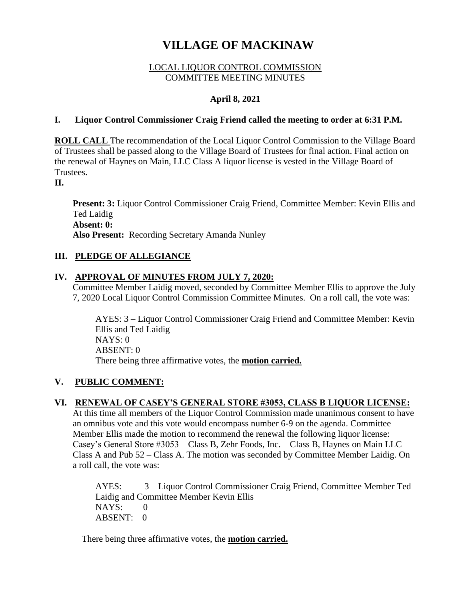# **VILLAGE OF MACKINAW**

#### LOCAL LIQUOR CONTROL COMMISSION COMMITTEE MEETING MINUTES

# **April 8, 2021**

#### **I. Liquor Control Commissioner Craig Friend called the meeting to order at 6:31 P.M.**

**ROLL CALL** The recommendation of the Local Liquor Control Commission to the Village Board of Trustees shall be passed along to the Village Board of Trustees for final action. Final action on the renewal of Haynes on Main, LLC Class A liquor license is vested in the Village Board of Trustees.

**II.**

**Present: 3:** Liquor Control Commissioner Craig Friend, Committee Member: Kevin Ellis and Ted Laidig **Absent: 0: Also Present:** Recording Secretary Amanda Nunley

# **III. PLEDGE OF ALLEGIANCE**

# **IV. APPROVAL OF MINUTES FROM JULY 7, 2020:**

Committee Member Laidig moved, seconded by Committee Member Ellis to approve the July 7, 2020 Local Liquor Control Commission Committee Minutes. On a roll call, the vote was:

AYES: 3 – Liquor Control Commissioner Craig Friend and Committee Member: Kevin Ellis and Ted Laidig NAYS: 0 ABSENT: 0 There being three affirmative votes, the **motion carried.**

# **V. PUBLIC COMMENT:**

# **VI. RENEWAL OF CASEY'S GENERAL STORE #3053, CLASS B LIQUOR LICENSE:**

At this time all members of the Liquor Control Commission made unanimous consent to have an omnibus vote and this vote would encompass number 6-9 on the agenda. Committee Member Ellis made the motion to recommend the renewal the following liquor license: Casey's General Store #3053 – Class B, Zehr Foods, Inc. – Class B, Haynes on Main LLC – Class A and Pub 52 – Class A. The motion was seconded by Committee Member Laidig. On a roll call, the vote was:

AYES: 3 – Liquor Control Commissioner Craig Friend, Committee Member Ted Laidig and Committee Member Kevin Ellis NAYS: 0 ABSENT: 0

There being three affirmative votes, the **motion carried.**